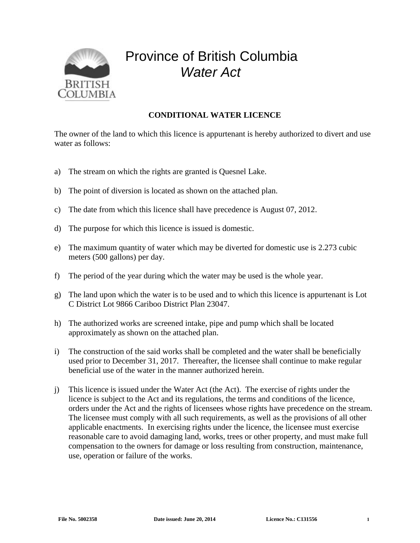

## Province of British Columbia *Water Act*

## **CONDITIONAL WATER LICENCE**

The owner of the land to which this licence is appurtenant is hereby authorized to divert and use water as follows:

- a) The stream on which the rights are granted is Quesnel Lake.
- b) The point of diversion is located as shown on the attached plan.
- c) The date from which this licence shall have precedence is August 07, 2012.
- d) The purpose for which this licence is issued is domestic.
- e) The maximum quantity of water which may be diverted for domestic use is 2.273 cubic meters (500 gallons) per day.
- f) The period of the year during which the water may be used is the whole year.
- g) The land upon which the water is to be used and to which this licence is appurtenant is Lot C District Lot 9866 Cariboo District Plan 23047.
- h) The authorized works are screened intake, pipe and pump which shall be located approximately as shown on the attached plan.
- i) The construction of the said works shall be completed and the water shall be beneficially used prior to December 31, 2017. Thereafter, the licensee shall continue to make regular beneficial use of the water in the manner authorized herein.
- j) This licence is issued under the Water Act (the Act). The exercise of rights under the licence is subject to the Act and its regulations, the terms and conditions of the licence, orders under the Act and the rights of licensees whose rights have precedence on the stream. The licensee must comply with all such requirements, as well as the provisions of all other applicable enactments. In exercising rights under the licence, the licensee must exercise reasonable care to avoid damaging land, works, trees or other property, and must make full compensation to the owners for damage or loss resulting from construction, maintenance, use, operation or failure of the works.